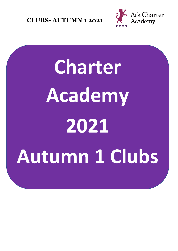

# **Charter Academy 2021 Autumn 1 Clubs**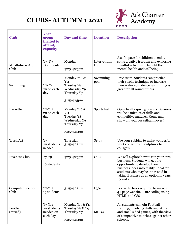

| <b>Club</b>                     | <b>Year</b><br>group<br>invited to<br>attend/<br>capacity | Day and time                                                                         | <b>Location</b>     | <b>Description</b>                                                                                                                                                                                                                          |
|---------------------------------|-----------------------------------------------------------|--------------------------------------------------------------------------------------|---------------------|---------------------------------------------------------------------------------------------------------------------------------------------------------------------------------------------------------------------------------------------|
| Mindfulness Art<br>Club         | $Y$ 7- $Y$ 9<br>15 students                               | Monday<br>3:25-4:25pm                                                                | Intervention<br>Hub | A safe space for children to enjoy<br>some creative freedom and exploring<br>mindful activities to benefit their<br>mental health and wellbeing.                                                                                            |
| Swimming                        | $Y$ 7- $Y$ 11<br>20 on each<br>day                        | Monday Y10 &<br>$Y_{11}$<br>Tuesday Y8<br>Wednesday Y9<br>Thursday Y7<br>3:25-4:15pm | Swimming<br>pool    | Free swim. Students can practice<br>their stroke technique or increase<br>their water confidence. Swimming is<br>great for all round fitness.                                                                                               |
| Basketball                      | $Y7 - Y11$<br>20 on each<br>day                           | Monday Y10 &<br>$Y_{11}$<br>Tuesday Y8<br>Wednesday Y9<br>Thursday Y7<br>3:25-4:15pm | Sports hall         | Open to all aspiring players. Sessions<br>will be a mixture of drills and<br>competitive matches. Come and<br>show off your basketball moves!                                                                                               |
| <b>Trash Art</b>                | Y7<br>20 students<br>needed                               | Thursday<br>3:25-4:25pm                                                              | $S1-04$             | Use your rubbish to make wonderful<br>works of art from sculptures to<br>collage's                                                                                                                                                          |
| <b>Business Club</b>            | $Y7-Y9$<br>10 students                                    | 3:25-4:25pm                                                                          | C102                | We will explore how to run your own<br>business. Students will get the<br>opportunity to develop their<br>business ideas into reality. Ideal for<br>students who may be interested in<br>taking Business as an option in years<br>10 and 11 |
| <b>Computer Science</b><br>Club | $Y7 - Y11$<br>15 students                                 | 3:25-4:25pm                                                                          | L <sub>3</sub> 04   | Learn the tools required to make a<br>4+ page website. Pure coding using<br>HTML and CSS                                                                                                                                                    |
| Football<br>(mixed)             | $Y7 - Y11$<br>20 students<br>needed on<br>each day        | Monday Y10& Y11<br>Tuesday Y8 & Y9<br>Thursday Y7<br>3:25-4:15pm                     | <b>MUGA</b>         | All students can join Football<br>training, involving drills and skills<br>and small sided games, with the view<br>of competitive matches against other<br>schools.                                                                         |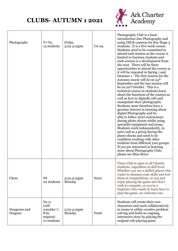

| Photography                    | $Y7-Y9$<br>14 students                                             | Friday<br>3:25-4:25pm | $Co-04$                       | Photography Club is a basic<br>introduction into Photography and<br>using DSLR cameras for Key Stage 3<br>students. It is a five-week course.<br>Students need to be committed to<br>attend each session as the course is<br>limited to fourteen students and<br>each session is a development from<br>the next. There will be three<br>opportunities to attend the course as<br>it will be repeated in Spring 1 and<br>Summer 1. The first session for the<br>Autumn course will be on 24 <sup>th</sup><br>September and the last session will<br>be on 22 <sup>nd</sup> October. This is a<br>technical course as students learn<br>about the functions of the camera as<br>well as how to digitally edit and<br>manipulate their photographs.<br>Students must therefore have a<br>genuine interest in learning about<br>digital Photography and be<br>able to follow strict instructions<br>during photo shoots whilst using<br>specialist equipment and props.<br>Students work independently, in<br>pairs and as a group during the<br>photo shoots and need to be<br>confident working with other<br>students from different year groups.<br>If you are interested in learning<br>more about Photography Club,<br>please see Miss Bryce |
|--------------------------------|--------------------------------------------------------------------|-----------------------|-------------------------------|------------------------------------------------------------------------------------------------------------------------------------------------------------------------------------------------------------------------------------------------------------------------------------------------------------------------------------------------------------------------------------------------------------------------------------------------------------------------------------------------------------------------------------------------------------------------------------------------------------------------------------------------------------------------------------------------------------------------------------------------------------------------------------------------------------------------------------------------------------------------------------------------------------------------------------------------------------------------------------------------------------------------------------------------------------------------------------------------------------------------------------------------------------------------------------------------------------------------------------------------|
| Chess                          | Y8<br>20 students                                                  | 3:25-4:25pm<br>Monday | S <sub>2</sub> 0 <sub>2</sub> | Chess Club is open to all Charter<br>students, regardless of skill level.<br>Whether you are a skilled player who<br>wants to sharpen your skills and test<br>them at competitions, or you just<br>enjoy playing the game and don't<br>wish to compete, or you're a<br>beginner who wants to learn how to<br>play the game, we welcome you.                                                                                                                                                                                                                                                                                                                                                                                                                                                                                                                                                                                                                                                                                                                                                                                                                                                                                                    |
| Dungeons and<br><b>Dragons</b> | $Y9-11$<br>(will<br>consider 7-<br>8 by<br>request)<br>10 students | 3:25-4:25pm<br>Monday | Foo <sub>6</sub>              | Students will create their own<br>characters and work collaboratively<br>in teams to utilise creative problem<br>solving and build an ongoing,<br>interactive story by playing the<br>original role-playing game.                                                                                                                                                                                                                                                                                                                                                                                                                                                                                                                                                                                                                                                                                                                                                                                                                                                                                                                                                                                                                              |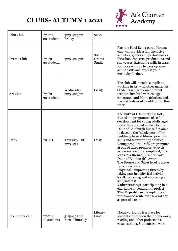

| Film Club     | $Y7 - Y11$<br>20 students | 3:25-4:25pm<br>Friday         | S <sub>20</sub> 8                   |                                                                                                                                                                                                                                                                                                                                                                                                                                                                                                                                                                                                                                                                                                                                                                                                                                                      |
|---------------|---------------------------|-------------------------------|-------------------------------------|------------------------------------------------------------------------------------------------------------------------------------------------------------------------------------------------------------------------------------------------------------------------------------------------------------------------------------------------------------------------------------------------------------------------------------------------------------------------------------------------------------------------------------------------------------------------------------------------------------------------------------------------------------------------------------------------------------------------------------------------------------------------------------------------------------------------------------------------------|
| Drama Club    | $Y7-Y9$<br>30 students    | 3:25-4:10pm                   | So <sub>24</sub><br>Drama<br>Studio | Play the Part! Being part of drama<br>club will provide a fun, inclusive<br>activities, games and performances<br>for school concerts, productions and<br>showcases. Extending skills in class<br>for those wishing to develop your<br>acting skills and express your<br>creativity further.                                                                                                                                                                                                                                                                                                                                                                                                                                                                                                                                                         |
| Art Club      | $Y7-Y9$<br>30 students    | Wednesday<br>3:25-4:25pm      | Co <sub>05</sub>                    | The club will introduce pupils to<br>working in Art with other materials.<br>Students will work on different<br>technics involved with collage,<br>collagraph and Mono printing, and<br>the methods used to add font to their<br>work.                                                                                                                                                                                                                                                                                                                                                                                                                                                                                                                                                                                                               |
| DofE          | $YQ-Y11$                  | Thursday TBC<br>$3:25 - 4:15$ | $L2 - 01$                           | The Duke of Edinburgh's (DofE)<br>Award is a programme of self-<br>development for young adults aged<br>14-25. Established in 1956 by the<br>Duke of Edinburgh himself, it aims<br>to develop the "whole person" by<br>building physical fitness, practical<br>skills and teamworking abilities.<br>Young people do DofE programmes<br>at one of three progressive levels.<br>When successfully completed, this<br>leads to a Bronze, Silver or Gold<br>Duke of Edinburgh's Award.<br>The Bronze and Silver level is made<br>up of 4 sections:<br>Physical: improving fitness by<br>taking part in a physical activity<br><b>Skill:</b> pursuing and improving a<br>skill/interest<br>Volunteering: participating in a<br>charitable or community project<br>The Expedition: completing a<br>pre-planned route over several day<br>as part of a team |
| Homework club | $Y7 - Y11$<br>10 students | 3:25-4:25pm<br>Mon-Thursday   | Library<br>$Lo-01$                  | Homework Club is a place for<br>students to work on their homework,<br>reading and other projects in a<br>casual setting. Students can work                                                                                                                                                                                                                                                                                                                                                                                                                                                                                                                                                                                                                                                                                                          |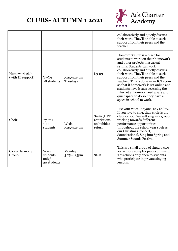

|                                    |                                           |                              |                                                          | collaboratively and quietly discuss<br>their work. They'll be able to seek<br>support from their peers and the<br>teacher.                                                                                                                                                                                                                                                                                                                                                          |
|------------------------------------|-------------------------------------------|------------------------------|----------------------------------------------------------|-------------------------------------------------------------------------------------------------------------------------------------------------------------------------------------------------------------------------------------------------------------------------------------------------------------------------------------------------------------------------------------------------------------------------------------------------------------------------------------|
| Homework club<br>(with IT support) | $Y7-Y9$<br>28 students                    | $3:25 - 4:25$ pm<br>Tuesdays | $L3 - 03$                                                | Homework Club is a place for<br>students to work on their homework<br>and other projects in a casual<br>setting. Students can work<br>collaboratively and quietly discuss<br>their work. They'll be able to seek<br>support from their peers and the<br>teacher. This is done in an ICT room<br>so that if homework is set online and<br>students have issues accessing the<br>internet at home or need a safe and<br>quiet space to do so, they have a<br>space in school to work. |
| Choir                              | $Y7 - Y11$<br>100<br>students             | Weds<br>3:25-4:25pm          | $S1-10$ (HPT if<br>restrictions<br>on bubbles<br>return) | Use your voice! Anyone, any ability.<br>If you love to sing, then choir is the<br>club for you. We will sing as a group,<br>working towards different<br>performance opportunities<br>throughout the school year such as<br>our Christmas Concert,<br>Soundsational, Sing into Spring and<br><b>Summer Sounds Festival!</b>                                                                                                                                                         |
| Close-Harmony<br>Group             | Voice<br>students<br>only/<br>20 students | Monday<br>3.25-4.25pm        | $S1-11$                                                  | This is a small group of singers who<br>learn more complex pieces of music.<br>This club is only open to students<br>who participate in private singing<br>lessons.                                                                                                                                                                                                                                                                                                                 |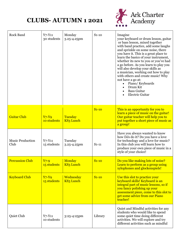

| <b>Rock Band</b>                               | $Y7 - Y11$<br>30 students                                   | Monday<br>3.25-4.25pm                   | $S1-10$            | Imagine<br>your keyboard or drum lesson, guitar<br>or bass lesson, mixed together<br>with band practice, add some laughs<br>and sprinkle on some noise, there<br>you have it. This is a great place to<br>learn the basics of your instrument,<br>whether its new to you or you've had<br>a go before. As you learn to play you<br>will also develop your skills as<br>a musician, working out how to play<br>with others and create music! Why<br>not have a go at:<br>Piano/Keyboards<br>$\bullet$<br>Drum Kit<br><b>Bass Guitar</b><br><b>Electric Guitar</b> |
|------------------------------------------------|-------------------------------------------------------------|-----------------------------------------|--------------------|------------------------------------------------------------------------------------------------------------------------------------------------------------------------------------------------------------------------------------------------------------------------------------------------------------------------------------------------------------------------------------------------------------------------------------------------------------------------------------------------------------------------------------------------------------------|
| <b>Guitar Club</b>                             | $Y7-Y9$<br>10 students                                      | Tuesday<br><b>KS3 Lunch</b>             | $S1-10$            | This is an opportunity for you to<br>learn a piece of music on the guitar!<br>Our guitar teacher will help you to<br>put together a short piece of music as<br>a group!                                                                                                                                                                                                                                                                                                                                                                                          |
| <b>Music Production</b><br>Club                | $Y7 - Y11$<br>15 students                                   | Tuesday<br>3.25-4.25pm                  | $S1-11$            | Have you always wanted to know<br>how DJs do it? Do you have a love<br>for technology and a love for music?<br>In this club you will learn how to<br>produce your own piece of music in a<br>style of your choice!                                                                                                                                                                                                                                                                                                                                               |
| <b>Percussion Club</b><br><b>Keyboard Club</b> | $Y7-9$<br>15 students   KS3 Lunch<br>$Y7-Y9$<br>15 students | Monday<br>Wednesday<br><b>KS3 Lunch</b> | $S1-10$<br>$S1-10$ | Do you like making lots of noise?<br>Learn to perform as a group using<br>xylophones and glockenspiels!<br>Use this slot to practice your<br>keyboard skills! Keyboard is an                                                                                                                                                                                                                                                                                                                                                                                     |
|                                                |                                                             |                                         |                    | integral part of music lessons, so if<br>you fancy polishing up your<br>assessment piece, come to this slot to<br>get some advice from our Piano<br>teacher!                                                                                                                                                                                                                                                                                                                                                                                                     |
| Quiet Club                                     | $Y7 - Y11$<br>10 students                                   | 3:25-4:25pm                             | Library            | Quiet and Mindful activities for any<br>students who would like to spend<br>some quiet time doing different<br>activities. We will explore and try<br>different activities such as mindful                                                                                                                                                                                                                                                                                                                                                                       |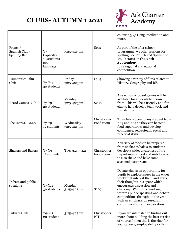

|                                                 |                                                   |                          |                           | colouring, Qi Gong, meditation and<br>more.                                                                                                                                                                                                                                                                                                                    |
|-------------------------------------------------|---------------------------------------------------|--------------------------|---------------------------|----------------------------------------------------------------------------------------------------------------------------------------------------------------------------------------------------------------------------------------------------------------------------------------------------------------------------------------------------------------|
| French/<br>Spanish Club-<br><b>Spelling Bee</b> | Y7<br>Capacity-<br>10 students<br>per<br>language | $3:25 - 4:25$ pm         | S <sub>102</sub>          | As part of the after school<br>programme, we offer sessions for<br>spelling Bee French and Spanish to<br>Y7. It starts on the 26th<br>September.<br>It's a regional and national<br>competition.                                                                                                                                                               |
| Humanities Film<br>Club                         | $Y7 - Y11$<br>30 students                         | Friday<br>3:25-4:25pm    | L104                      | Showing a variety of films related to<br>History, Geography and RE.                                                                                                                                                                                                                                                                                            |
| <b>Board Games Club</b>                         | $Y7-Y9$<br>20 students                            | Monday<br>3:25-4:25pm    | S <sub>206</sub>          | A selection of board games will be<br>available for students to choose<br>from. This will be a friendly and fun<br>club to help develop teamwork and<br>friendships.                                                                                                                                                                                           |
| The IncrEDIBLES                                 | $Y7-Y9$<br>12 students                            | Wednesday<br>3:25-4:25pm | Christopher<br>Food room  | This club is open to any student from<br>KS3 and KS4 so they can become<br>food superheroes and develop<br>confidence, self-esteem, social and<br>practical skills.                                                                                                                                                                                            |
| <b>Shakers and Bakers</b>                       | $Y7-Y9$<br>12 students                            | Tues $3.25 - 4.25$       | Christopher<br>Food room  | A variety of foods to be prepared<br>from shakes to bakes so students<br>develop a wider awareness of the<br>importance of food and nutrition but<br>to also shake and bake some<br>seasonal tasty treats                                                                                                                                                      |
| Debate and public<br>speaking                   | $Y7 - Y11$<br>30 students                         | Monday<br>3:25-4:25pm    | S <sub>207</sub>          | Debate club is an opportunity for<br>pupils to explore issues in the wider<br>world that interest them and argue<br>their thoughts in a space which<br>encourages discussion and<br>challenge. We will be working<br>towards public speaking and debate<br>competitions throughout the year<br>with an emphasis on research,<br>communication and exploration. |
| <b>Futures Club</b>                             | $YQ-Y11$<br>20 students                           | $3:25 - 4:25$ pm         | Christopher<br><b>ICT</b> | If you are interested in finding out<br>more about building the best version<br>of yourself, then this is the club for<br>you: careers, employability skills,                                                                                                                                                                                                  |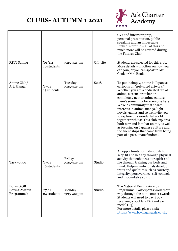

|                                                  |                           |                        |                   | CVs and interview prep,<br>personal presentation, public<br>speaking and an impeccable<br>LinkedIn profile $-$ all of this and<br>much more will be covered during<br>the Futures Club.                                                                                                                                                                                                                                                                                                                                                                             |
|--------------------------------------------------|---------------------------|------------------------|-------------------|---------------------------------------------------------------------------------------------------------------------------------------------------------------------------------------------------------------------------------------------------------------------------------------------------------------------------------------------------------------------------------------------------------------------------------------------------------------------------------------------------------------------------------------------------------------------|
| <b>PSTT Sailing</b>                              | $YQ-Y11$<br>10 students   | 3:25-4:25pm            | Off-site          | Students are selected for this club.<br>More details will follow on how you<br>can join, or you can speak to Mr.<br>Cook or Mrs Rook.                                                                                                                                                                                                                                                                                                                                                                                                                               |
| Anime Club/<br>Art/Manga                         | $Y7-11$<br>15 students    | Tuesday<br>3:25-4:25pm | S <sub>20</sub> 8 | To put it simply, anime is Japanese<br>cartoons or "animated artwork."<br>Whether you are a dedicated fan of<br>anime, a casual watcher or<br>completely new to anime culture,<br>there's something for everyone here!<br>We're a community that shares<br>interests in anime, manga, light<br>novels, games and so we invite you<br>to explore this wonderful world<br>together with us! This club explores<br>both new and familiar anime, as well<br>as focusing on Japanese culture and<br>the friendships that come from being<br>part of a passionate fandom! |
| Taekwondo                                        | $Y_{7-11}$<br>10 students | Friday<br>3:25-4:25pm  | Studio            | An opportunity for individuals to<br>keep fit and healthy through physical<br>activity that enhances our spirit and<br>life through training our body and<br>mind. Helping individuals develop<br>traits and qualities such as courtesy,<br>integrity, perseverance, self-control,<br>and indomitable spirit.                                                                                                                                                                                                                                                       |
| Boxing (GB<br><b>Boxing Awards</b><br>Programme) | $Y$ 7-11<br>24 students   | Monday<br>3:35-4:25pm  | Studio            | The National Boxing Awards<br>Programme. Participants work their<br>way through the non-contact awards.<br>Students will need to pay £20 -<br>receiving a booklet $(E11)$ and each<br>medal $(E_3)$ .<br>For more details please visit:<br>https://www.boxingawards.co.uk/                                                                                                                                                                                                                                                                                          |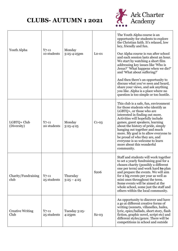

| Youth Alpha                     | $Y7-11$<br>10 students    | Monday<br>3:25-4:25pm      | $Lo-01$          | The Youth Alpha course is an<br>opportunity for students to explore<br>the Christian faith. It's relaxed, low<br>key, friendly and fun.<br>Our Alpha course is run after school<br>and each session lasts about an hour.<br>We start by watching a short film<br>addressing key issues like 'Who is<br>Jesus?' 'What happens when we die?'<br>and 'What about suffering?'<br>And then there's an opportunity to<br>discuss what you've seen and heard,<br>share your views, and ask anything<br>you like. Alpha is a place where no<br>question is too simple or too hostile. |
|---------------------------------|---------------------------|----------------------------|------------------|-------------------------------------------------------------------------------------------------------------------------------------------------------------------------------------------------------------------------------------------------------------------------------------------------------------------------------------------------------------------------------------------------------------------------------------------------------------------------------------------------------------------------------------------------------------------------------|
| LGBTQ+ Club<br>(Diversity)      | $Y_{7-11}$<br>20 students | Monday<br>$3:25 - 4:25$    | $C1-0.3$         | This club is a safe, fun, environment<br>for those students who identify as<br>LGBTQ+, or those who are<br>interested in finding out more.<br>Activities will hopefully include<br>games, guest speakers, learning<br>about the history of pride, simply<br>hanging out together and much<br>more. My goal is to allow everyone to<br>be proud of who they are, and<br>everyone is so welcome to learn<br>more about this wonderful<br>community.                                                                                                                             |
| Charity/Fundraising<br>club     | $Y_{7-11}$<br>25 students | Thursday<br>$3:25 - 4:25$  | S <sub>206</sub> | Staff and students will work together<br>to set a yearly fundraising goal for a<br>chosen charity (possibly a different<br>one per term) and work hard <b>to</b> plan<br>and prepare the events. We will aim<br>for 2 big events per year as well as<br>mini ones throughout the term.<br>Some events will be aimed at the<br>whole school, some just the staff and<br>others within the local community.                                                                                                                                                                     |
| <b>Creative Writing</b><br>Club | $Y_{7-11}$<br>25 students | Tuesday 3:25-<br>$4:25$ pm | $S_2-0.3$        | An opportunity to discover and have<br>a go at different creative forms of<br>writing (sonnets, villanelles, haiku,<br>lyric, epics/ballads, short story, flash<br>fiction, graphic novel, script etc) and<br>different styles/genre. There will be<br>competitions in school and outside                                                                                                                                                                                                                                                                                     |